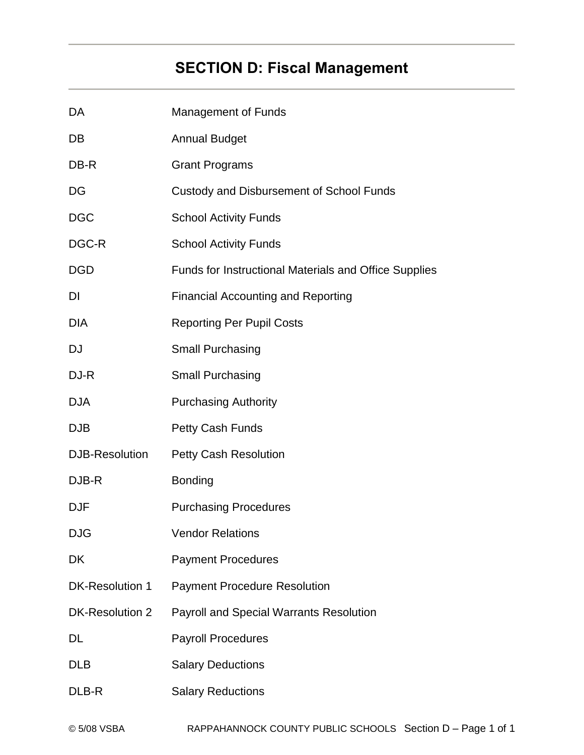# **SECTION D: Fiscal Management**

| DA                    | <b>Management of Funds</b>                            |
|-----------------------|-------------------------------------------------------|
| DB                    | <b>Annual Budget</b>                                  |
| DB-R                  | <b>Grant Programs</b>                                 |
| DG                    | Custody and Disbursement of School Funds              |
| <b>DGC</b>            | <b>School Activity Funds</b>                          |
| DGC-R                 | <b>School Activity Funds</b>                          |
| <b>DGD</b>            | Funds for Instructional Materials and Office Supplies |
| DI                    | <b>Financial Accounting and Reporting</b>             |
| <b>DIA</b>            | <b>Reporting Per Pupil Costs</b>                      |
| <b>DJ</b>             | <b>Small Purchasing</b>                               |
| DJ-R                  | Small Purchasing                                      |
| <b>DJA</b>            | <b>Purchasing Authority</b>                           |
| <b>DJB</b>            | Petty Cash Funds                                      |
| <b>DJB-Resolution</b> | <b>Petty Cash Resolution</b>                          |
| DJB-R                 | <b>Bonding</b>                                        |
| <b>DJF</b>            | <b>Purchasing Procedures</b>                          |
| <b>DJG</b>            | <b>Vendor Relations</b>                               |
| DK                    | <b>Payment Procedures</b>                             |
| DK-Resolution 1       | <b>Payment Procedure Resolution</b>                   |
| DK-Resolution 2       | <b>Payroll and Special Warrants Resolution</b>        |
| <b>DL</b>             | <b>Payroll Procedures</b>                             |
| <b>DLB</b>            | <b>Salary Deductions</b>                              |
| DLB-R                 | <b>Salary Reductions</b>                              |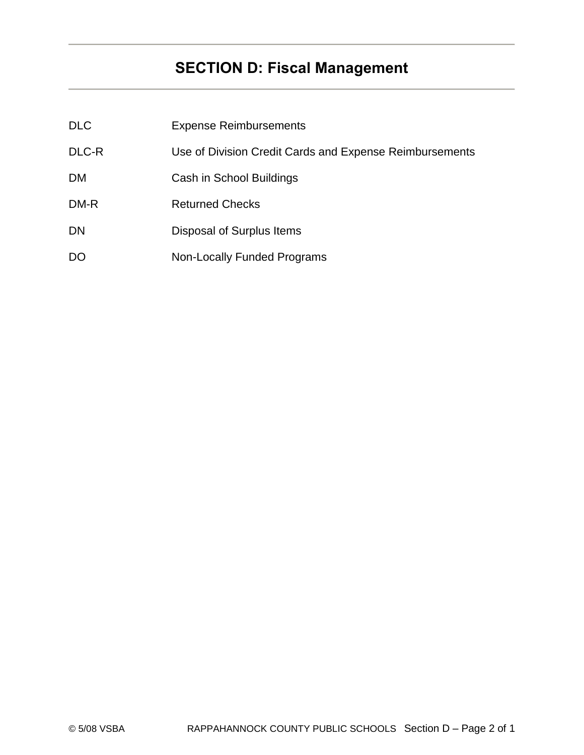# **SECTION D: Fiscal Management**

| <b>DLC</b> | <b>Expense Reimbursements</b>                           |
|------------|---------------------------------------------------------|
| DLC-R      | Use of Division Credit Cards and Expense Reimbursements |
| <b>DM</b>  | Cash in School Buildings                                |
| DM-R       | <b>Returned Checks</b>                                  |
| DN         | Disposal of Surplus Items                               |
| DO         | <b>Non-Locally Funded Programs</b>                      |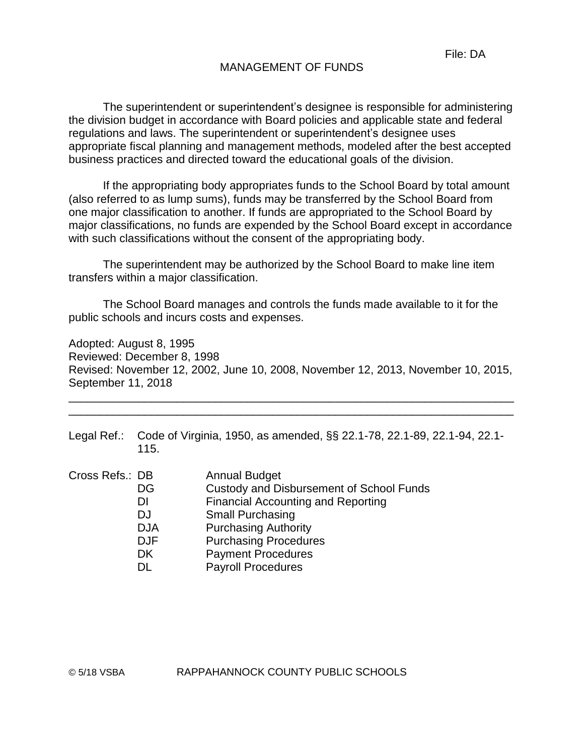## MANAGEMENT OF FUNDS

The superintendent or superintendent's designee is responsible for administering the division budget in accordance with Board policies and applicable state and federal regulations and laws. The superintendent or superintendent's designee uses appropriate fiscal planning and management methods, modeled after the best accepted business practices and directed toward the educational goals of the division.

If the appropriating body appropriates funds to the School Board by total amount (also referred to as lump sums), funds may be transferred by the School Board from one major classification to another. If funds are appropriated to the School Board by major classifications, no funds are expended by the School Board except in accordance with such classifications without the consent of the appropriating body.

The superintendent may be authorized by the School Board to make line item transfers within a major classification.

The School Board manages and controls the funds made available to it for the public schools and incurs costs and expenses.

Adopted: August 8, 1995 Reviewed: December 8, 1998 Revised: November 12, 2002, June 10, 2008, November 12, 2013, November 10, 2015, September 11, 2018

\_\_\_\_\_\_\_\_\_\_\_\_\_\_\_\_\_\_\_\_\_\_\_\_\_\_\_\_\_\_\_\_\_\_\_\_\_\_\_\_\_\_\_\_\_\_\_\_\_\_\_\_\_\_\_\_\_\_\_\_\_\_\_\_\_\_\_\_\_\_ \_\_\_\_\_\_\_\_\_\_\_\_\_\_\_\_\_\_\_\_\_\_\_\_\_\_\_\_\_\_\_\_\_\_\_\_\_\_\_\_\_\_\_\_\_\_\_\_\_\_\_\_\_\_\_\_\_\_\_\_\_\_\_\_\_\_\_\_\_\_

| Legal Ref.: Code of Virginia, 1950, as amended, §§ 22.1-78, 22.1-89, 22.1-94, 22.1- |
|-------------------------------------------------------------------------------------|
|                                                                                     |

| Cross Refs.: DB | <b>Annual Budget</b>                      |
|-----------------|-------------------------------------------|
| DG              | Custody and Disbursement of School Funds  |
| DI              | <b>Financial Accounting and Reporting</b> |
| DJ              | <b>Small Purchasing</b>                   |
| <b>DJA</b>      | <b>Purchasing Authority</b>               |
| <b>DJF</b>      | <b>Purchasing Procedures</b>              |
| <b>DK</b>       | <b>Payment Procedures</b>                 |
| DL              | <b>Payroll Procedures</b>                 |
|                 |                                           |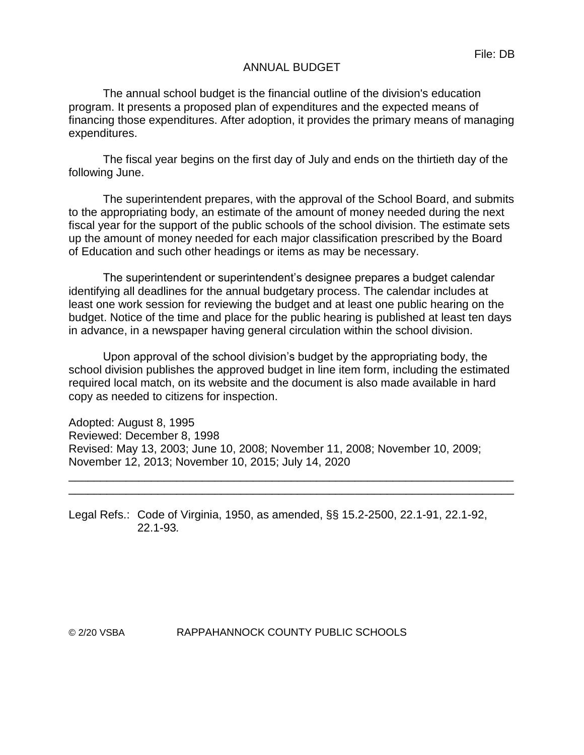## ANNUAL BUDGET

The annual school budget is the financial outline of the division's education program. It presents a proposed plan of expenditures and the expected means of financing those expenditures. After adoption, it provides the primary means of managing expenditures.

The fiscal year begins on the first day of July and ends on the thirtieth day of the following June.

The superintendent prepares, with the approval of the School Board, and submits to the appropriating body, an estimate of the amount of money needed during the next fiscal year for the support of the public schools of the school division. The estimate sets up the amount of money needed for each major classification prescribed by the Board of Education and such other headings or items as may be necessary.

The superintendent or superintendent's designee prepares a budget calendar identifying all deadlines for the annual budgetary process. The calendar includes at least one work session for reviewing the budget and at least one public hearing on the budget. Notice of the time and place for the public hearing is published at least ten days in advance, in a newspaper having general circulation within the school division.

Upon approval of the school division's budget by the appropriating body, the school division publishes the approved budget in line item form, including the estimated required local match, on its website and the document is also made available in hard copy as needed to citizens for inspection.

\_\_\_\_\_\_\_\_\_\_\_\_\_\_\_\_\_\_\_\_\_\_\_\_\_\_\_\_\_\_\_\_\_\_\_\_\_\_\_\_\_\_\_\_\_\_\_\_\_\_\_\_\_\_\_\_\_\_\_\_\_\_\_\_\_\_\_\_\_\_ \_\_\_\_\_\_\_\_\_\_\_\_\_\_\_\_\_\_\_\_\_\_\_\_\_\_\_\_\_\_\_\_\_\_\_\_\_\_\_\_\_\_\_\_\_\_\_\_\_\_\_\_\_\_\_\_\_\_\_\_\_\_\_\_\_\_\_\_\_\_

Adopted: August 8, 1995 Reviewed: December 8, 1998 Revised: May 13, 2003; June 10, 2008; November 11, 2008; November 10, 2009; November 12, 2013; November 10, 2015; July 14, 2020

Legal Refs.: Code of Virginia, 1950, as amended, §§ 15.2-2500, 22.1-91, 22.1-92, 22.1-93*.*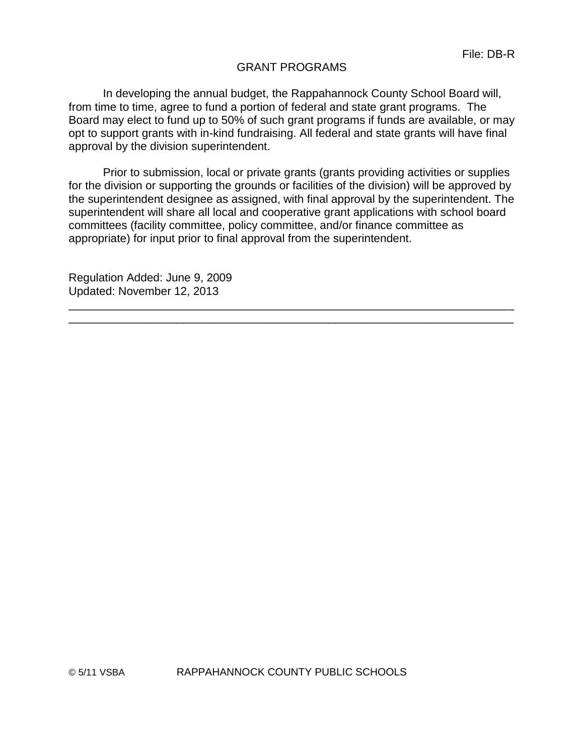## GRANT PROGRAMS

In developing the annual budget, the Rappahannock County School Board will, from time to time, agree to fund a portion of federal and state grant programs. The Board may elect to fund up to 50% of such grant programs if funds are available, or may opt to support grants with in-kind fundraising. All federal and state grants will have final approval by the division superintendent.

Prior to submission, local or private grants (grants providing activities or supplies for the division or supporting the grounds or facilities of the division) will be approved by the superintendent designee as assigned, with final approval by the superintendent. The superintendent will share all local and cooperative grant applications with school board committees (facility committee, policy committee, and/or finance committee as appropriate) for input prior to final approval from the superintendent.

\_\_\_\_\_\_\_\_\_\_\_\_\_\_\_\_\_\_\_\_\_\_\_\_\_\_\_\_\_\_\_\_\_\_\_\_\_\_\_\_\_\_\_\_\_\_\_\_\_\_\_\_\_\_\_\_\_\_\_\_\_\_\_\_\_\_\_\_\_\_ \_\_\_\_\_\_\_\_\_\_\_\_\_\_\_\_\_\_\_\_\_\_\_\_\_\_\_\_\_\_\_\_\_\_\_\_\_\_\_\_\_\_\_\_\_\_\_\_\_\_\_\_\_\_\_\_\_\_\_\_\_\_\_\_\_\_\_\_\_\_

Regulation Added: June 9, 2009 Updated: November 12, 2013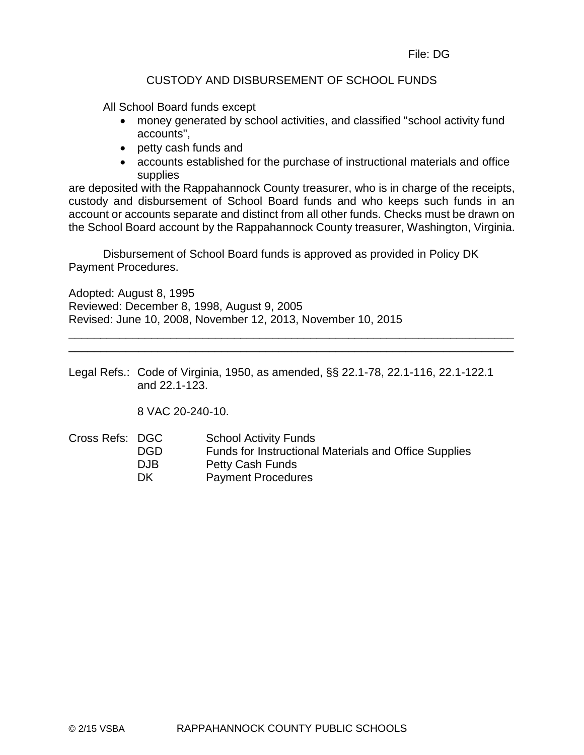# CUSTODY AND DISBURSEMENT OF SCHOOL FUNDS

All School Board funds except

- money generated by school activities, and classified "school activity fund accounts",
- petty cash funds and
- accounts established for the purchase of instructional materials and office supplies

are deposited with the Rappahannock County treasurer, who is in charge of the receipts, custody and disbursement of School Board funds and who keeps such funds in an account or accounts separate and distinct from all other funds. Checks must be drawn on the School Board account by the Rappahannock County treasurer, Washington, Virginia.

Disbursement of School Board funds is approved as provided in Policy DK Payment Procedures.

Adopted: August 8, 1995 Reviewed: December 8, 1998, August 9, 2005 Revised: June 10, 2008, November 12, 2013, November 10, 2015

Legal Refs.: Code of Virginia, 1950, as amended, §§ 22.1-78, 22.1-116, 22.1-122.1 and 22.1-123.

\_\_\_\_\_\_\_\_\_\_\_\_\_\_\_\_\_\_\_\_\_\_\_\_\_\_\_\_\_\_\_\_\_\_\_\_\_\_\_\_\_\_\_\_\_\_\_\_\_\_\_\_\_\_\_\_\_\_\_\_\_\_\_\_\_\_\_\_\_\_ \_\_\_\_\_\_\_\_\_\_\_\_\_\_\_\_\_\_\_\_\_\_\_\_\_\_\_\_\_\_\_\_\_\_\_\_\_\_\_\_\_\_\_\_\_\_\_\_\_\_\_\_\_\_\_\_\_\_\_\_\_\_\_\_\_\_\_\_\_\_

8 VAC 20-240-10.

Cross Refs: DGC School Activity Funds DGD Funds for Instructional Materials and Office Supplies DJB Petty Cash Funds DK Payment Procedures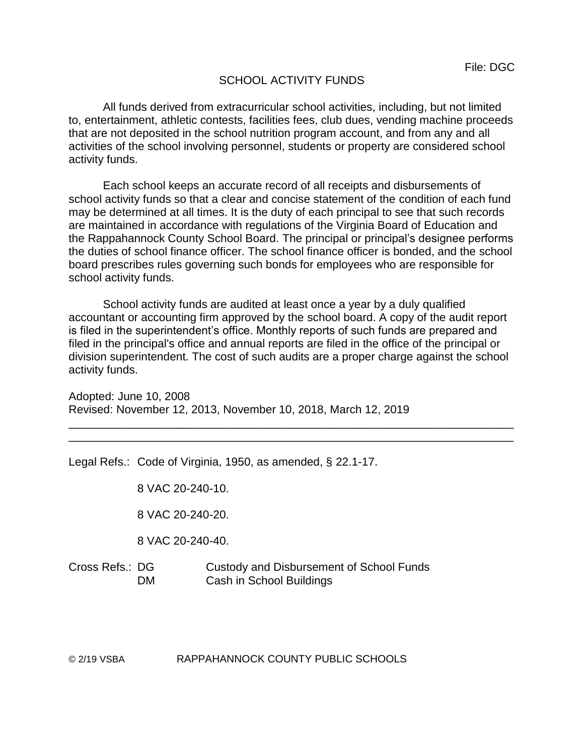# SCHOOL ACTIVITY FUNDS

All funds derived from extracurricular school activities, including, but not limited to, entertainment, athletic contests, facilities fees, club dues, vending machine proceeds that are not deposited in the school nutrition program account, and from any and all activities of the school involving personnel, students or property are considered school activity funds.

Each school keeps an accurate record of all receipts and disbursements of school activity funds so that a clear and concise statement of the condition of each fund may be determined at all times. It is the duty of each principal to see that such records are maintained in accordance with regulations of the Virginia Board of Education and the Rappahannock County School Board. The principal or principal's designee performs the duties of school finance officer. The school finance officer is bonded, and the school board prescribes rules governing such bonds for employees who are responsible for school activity funds.

School activity funds are audited at least once a year by a duly qualified accountant or accounting firm approved by the school board. A copy of the audit report is filed in the superintendent's office. Monthly reports of such funds are prepared and filed in the principal's office and annual reports are filed in the office of the principal or division superintendent. The cost of such audits are a proper charge against the school activity funds.

\_\_\_\_\_\_\_\_\_\_\_\_\_\_\_\_\_\_\_\_\_\_\_\_\_\_\_\_\_\_\_\_\_\_\_\_\_\_\_\_\_\_\_\_\_\_\_\_\_\_\_\_\_\_\_\_\_\_\_\_\_\_\_\_\_\_\_\_\_\_ \_\_\_\_\_\_\_\_\_\_\_\_\_\_\_\_\_\_\_\_\_\_\_\_\_\_\_\_\_\_\_\_\_\_\_\_\_\_\_\_\_\_\_\_\_\_\_\_\_\_\_\_\_\_\_\_\_\_\_\_\_\_\_\_\_\_\_\_\_\_

Adopted: June 10, 2008 Revised: November 12, 2013, November 10, 2018, March 12, 2019

Legal Refs.: Code of Virginia, 1950, as amended, § 22.1-17.

8 VAC 20-240-10.

8 VAC 20-240-20.

8 VAC 20-240-40.

Cross Refs.: DG Custody and Disbursement of School Funds DM Cash in School Buildings

© 2/19 VSBA RAPPAHANNOCK COUNTY PUBLIC SCHOOLS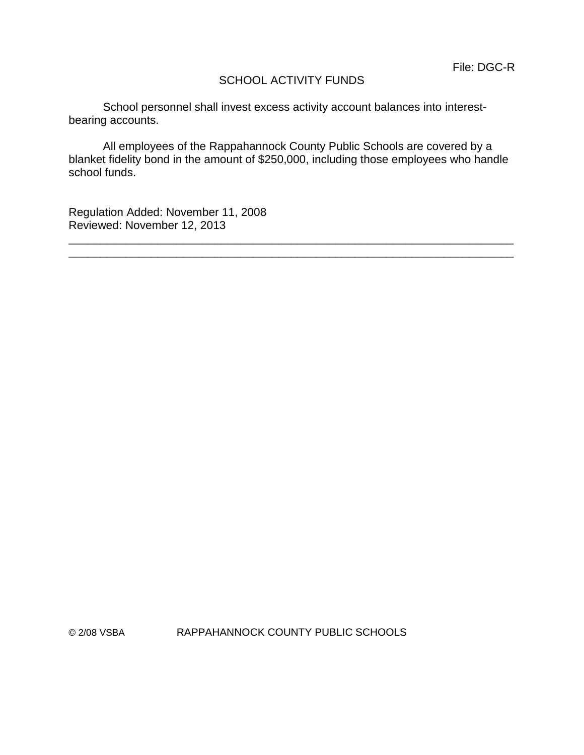# SCHOOL ACTIVITY FUNDS

School personnel shall invest excess activity account balances into interestbearing accounts.

All employees of the Rappahannock County Public Schools are covered by a blanket fidelity bond in the amount of \$250,000, including those employees who handle school funds.

\_\_\_\_\_\_\_\_\_\_\_\_\_\_\_\_\_\_\_\_\_\_\_\_\_\_\_\_\_\_\_\_\_\_\_\_\_\_\_\_\_\_\_\_\_\_\_\_\_\_\_\_\_\_\_\_\_\_\_\_\_\_\_\_\_\_\_\_\_\_ \_\_\_\_\_\_\_\_\_\_\_\_\_\_\_\_\_\_\_\_\_\_\_\_\_\_\_\_\_\_\_\_\_\_\_\_\_\_\_\_\_\_\_\_\_\_\_\_\_\_\_\_\_\_\_\_\_\_\_\_\_\_\_\_\_\_\_\_\_\_

Regulation Added: November 11, 2008 Reviewed: November 12, 2013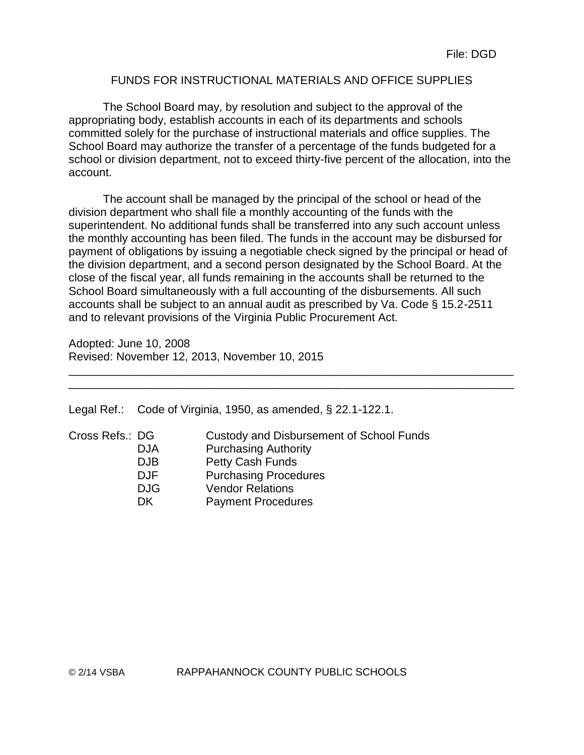# FUNDS FOR INSTRUCTIONAL MATERIALS AND OFFICE SUPPLIES

The School Board may, by resolution and subject to the approval of the appropriating body, establish accounts in each of its departments and schools committed solely for the purchase of instructional materials and office supplies. The School Board may authorize the transfer of a percentage of the funds budgeted for a school or division department, not to exceed thirty-five percent of the allocation, into the account.

The account shall be managed by the principal of the school or head of the division department who shall file a monthly accounting of the funds with the superintendent. No additional funds shall be transferred into any such account unless the monthly accounting has been filed. The funds in the account may be disbursed for payment of obligations by issuing a negotiable check signed by the principal or head of the division department, and a second person designated by the School Board. At the close of the fiscal year, all funds remaining in the accounts shall be returned to the School Board simultaneously with a full accounting of the disbursements. All such accounts shall be subject to an annual audit as prescribed by Va. Code § 15.2-2511 and to relevant provisions of the Virginia Public Procurement Act.

\_\_\_\_\_\_\_\_\_\_\_\_\_\_\_\_\_\_\_\_\_\_\_\_\_\_\_\_\_\_\_\_\_\_\_\_\_\_\_\_\_\_\_\_\_\_\_\_\_\_\_\_\_\_\_\_\_\_\_\_\_\_\_\_\_\_\_\_\_\_ \_\_\_\_\_\_\_\_\_\_\_\_\_\_\_\_\_\_\_\_\_\_\_\_\_\_\_\_\_\_\_\_\_\_\_\_\_\_\_\_\_\_\_\_\_\_\_\_\_\_\_\_\_\_\_\_\_\_\_\_\_\_\_\_\_\_\_\_\_\_

Adopted: June 10, 2008 Revised: November 12, 2013, November 10, 2015

Legal Ref.: Code of Virginia, 1950, as amended, § 22.1-122.1.

| Cross Refs.: DG |            | Custody and Disbursement of School Funds |
|-----------------|------------|------------------------------------------|
|                 | <b>DJA</b> | <b>Purchasing Authority</b>              |
|                 | <b>DJB</b> | <b>Petty Cash Funds</b>                  |
|                 | <b>DJF</b> | <b>Purchasing Procedures</b>             |
|                 | <b>DJG</b> | <b>Vendor Relations</b>                  |
|                 | DK         | <b>Payment Procedures</b>                |
|                 |            |                                          |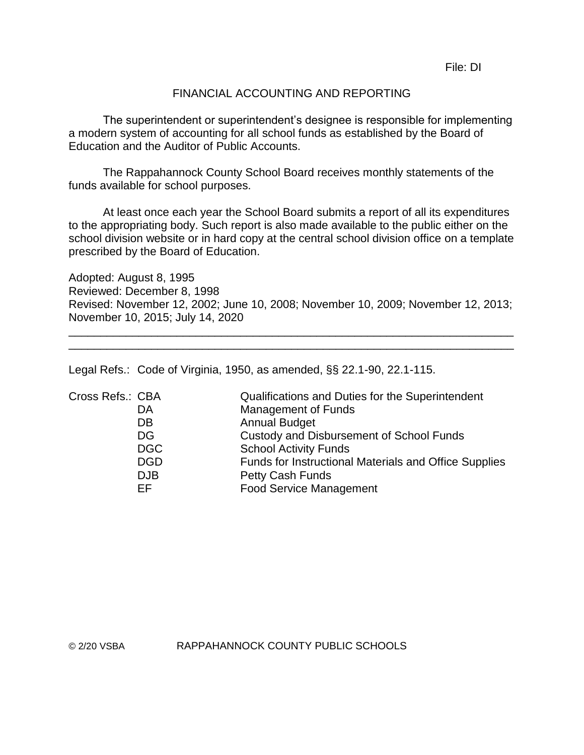File: DI

## FINANCIAL ACCOUNTING AND REPORTING

The superintendent or superintendent's designee is responsible for implementing a modern system of accounting for all school funds as established by the Board of Education and the Auditor of Public Accounts.

The Rappahannock County School Board receives monthly statements of the funds available for school purposes.

At least once each year the School Board submits a report of all its expenditures to the appropriating body. Such report is also made available to the public either on the school division website or in hard copy at the central school division office on a template prescribed by the Board of Education.

Adopted: August 8, 1995 Reviewed: December 8, 1998 Revised: November 12, 2002; June 10, 2008; November 10, 2009; November 12, 2013; November 10, 2015; July 14, 2020

\_\_\_\_\_\_\_\_\_\_\_\_\_\_\_\_\_\_\_\_\_\_\_\_\_\_\_\_\_\_\_\_\_\_\_\_\_\_\_\_\_\_\_\_\_\_\_\_\_\_\_\_\_\_\_\_\_\_\_\_\_\_\_\_\_\_\_\_\_\_ \_\_\_\_\_\_\_\_\_\_\_\_\_\_\_\_\_\_\_\_\_\_\_\_\_\_\_\_\_\_\_\_\_\_\_\_\_\_\_\_\_\_\_\_\_\_\_\_\_\_\_\_\_\_\_\_\_\_\_\_\_\_\_\_\_\_\_\_\_\_

Legal Refs.: Code of Virginia, 1950, as amended, §§ 22.1-90, 22.1-115.

| Cross Refs.: CBA | Qualifications and Duties for the Superintendent      |
|------------------|-------------------------------------------------------|
| DA               | <b>Management of Funds</b>                            |
| DB               | <b>Annual Budget</b>                                  |
| DG               | Custody and Disbursement of School Funds              |
| <b>DGC</b>       | <b>School Activity Funds</b>                          |
| <b>DGD</b>       | Funds for Instructional Materials and Office Supplies |
| <b>DJB</b>       | <b>Petty Cash Funds</b>                               |
| EF               | <b>Food Service Management</b>                        |
|                  |                                                       |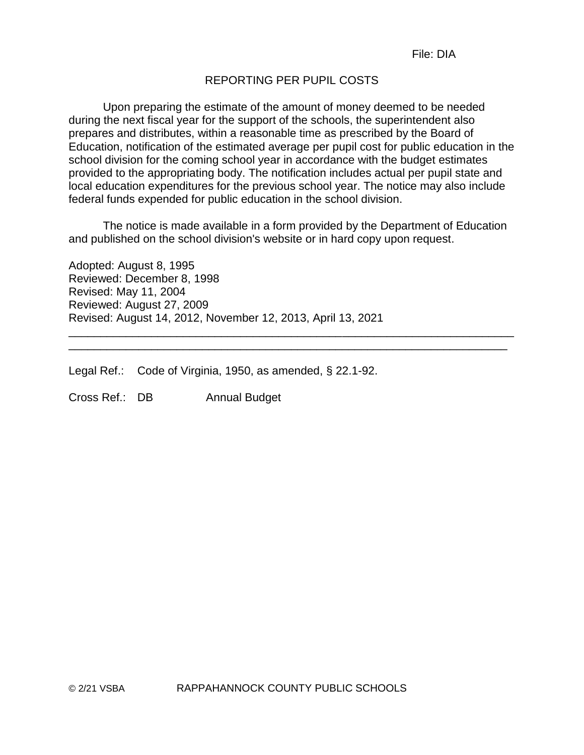# REPORTING PER PUPIL COSTS

Upon preparing the estimate of the amount of money deemed to be needed during the next fiscal year for the support of the schools, the superintendent also prepares and distributes, within a reasonable time as prescribed by the Board of Education, notification of the estimated average per pupil cost for public education in the school division for the coming school year in accordance with the budget estimates provided to the appropriating body. The notification includes actual per pupil state and local education expenditures for the previous school year. The notice may also include federal funds expended for public education in the school division.

The notice is made available in a form provided by the Department of Education and published on the school division's website or in hard copy upon request.

\_\_\_\_\_\_\_\_\_\_\_\_\_\_\_\_\_\_\_\_\_\_\_\_\_\_\_\_\_\_\_\_\_\_\_\_\_\_\_\_\_\_\_\_\_\_\_\_\_\_\_\_\_\_\_\_\_\_\_\_\_\_\_\_\_\_\_\_\_

Adopted: August 8, 1995 Reviewed: December 8, 1998 Revised: May 11, 2004 Reviewed: August 27, 2009 Revised: August 14, 2012, November 12, 2013, April 13, 2021 \_\_\_\_\_\_\_\_\_\_\_\_\_\_\_\_\_\_\_\_\_\_\_\_\_\_\_\_\_\_\_\_\_\_\_\_\_\_\_\_\_\_\_\_\_\_\_\_\_\_\_\_\_\_\_\_\_\_\_\_\_\_\_\_\_\_\_\_\_\_

Legal Ref.: Code of Virginia, 1950, as amended, § 22.1-92.

Cross Ref.: DB Annual Budget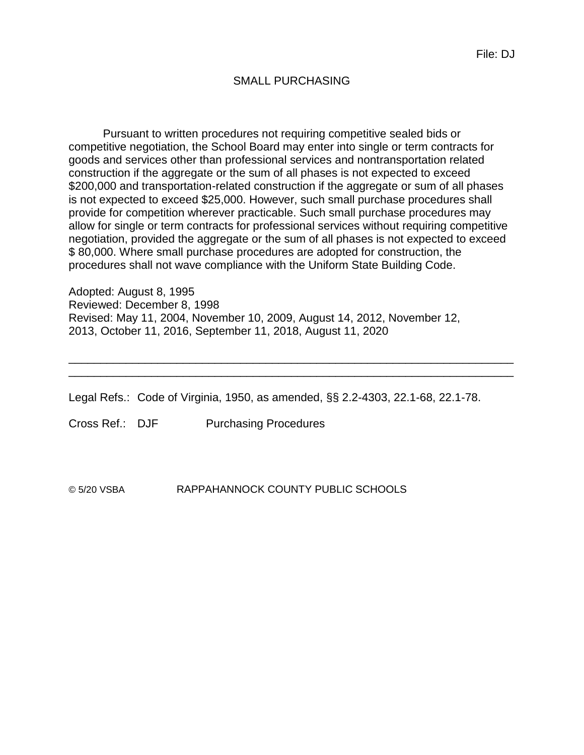## SMALL PURCHASING

Pursuant to written procedures not requiring competitive sealed bids or competitive negotiation, the School Board may enter into single or term contracts for goods and services other than professional services and nontransportation related construction if the aggregate or the sum of all phases is not expected to exceed \$200,000 and transportation-related construction if the aggregate or sum of all phases is not expected to exceed \$25,000. However, such small purchase procedures shall provide for competition wherever practicable. Such small purchase procedures may allow for single or term contracts for professional services without requiring competitive negotiation, provided the aggregate or the sum of all phases is not expected to exceed \$ 80,000. Where small purchase procedures are adopted for construction, the procedures shall not wave compliance with the Uniform State Building Code.

Adopted: August 8, 1995 Reviewed: December 8, 1998 Revised: May 11, 2004, November 10, 2009, August 14, 2012, November 12, 2013, October 11, 2016, September 11, 2018, August 11, 2020

Legal Refs.: Code of Virginia, 1950, as amended, §§ 2.2-4303, 22.1-68, 22.1-78.

\_\_\_\_\_\_\_\_\_\_\_\_\_\_\_\_\_\_\_\_\_\_\_\_\_\_\_\_\_\_\_\_\_\_\_\_\_\_\_\_\_\_\_\_\_\_\_\_\_\_\_\_\_\_\_\_\_\_\_\_\_\_\_\_\_\_\_\_\_\_ \_\_\_\_\_\_\_\_\_\_\_\_\_\_\_\_\_\_\_\_\_\_\_\_\_\_\_\_\_\_\_\_\_\_\_\_\_\_\_\_\_\_\_\_\_\_\_\_\_\_\_\_\_\_\_\_\_\_\_\_\_\_\_\_\_\_\_\_\_\_

Cross Ref.: DJF Purchasing Procedures

© 5/20 VSBA RAPPAHANNOCK COUNTY PUBLIC SCHOOLS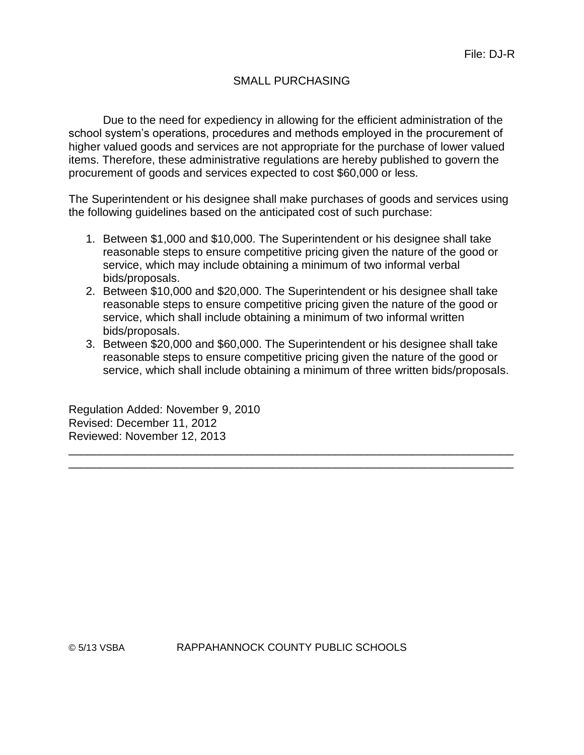# SMALL PURCHASING

Due to the need for expediency in allowing for the efficient administration of the school system's operations, procedures and methods employed in the procurement of higher valued goods and services are not appropriate for the purchase of lower valued items. Therefore, these administrative regulations are hereby published to govern the procurement of goods and services expected to cost \$60,000 or less.

The Superintendent or his designee shall make purchases of goods and services using the following guidelines based on the anticipated cost of such purchase:

- 1. Between \$1,000 and \$10,000. The Superintendent or his designee shall take reasonable steps to ensure competitive pricing given the nature of the good or service, which may include obtaining a minimum of two informal verbal bids/proposals.
- 2. Between \$10,000 and \$20,000. The Superintendent or his designee shall take reasonable steps to ensure competitive pricing given the nature of the good or service, which shall include obtaining a minimum of two informal written bids/proposals.
- 3. Between \$20,000 and \$60,000. The Superintendent or his designee shall take reasonable steps to ensure competitive pricing given the nature of the good or service, which shall include obtaining a minimum of three written bids/proposals.

\_\_\_\_\_\_\_\_\_\_\_\_\_\_\_\_\_\_\_\_\_\_\_\_\_\_\_\_\_\_\_\_\_\_\_\_\_\_\_\_\_\_\_\_\_\_\_\_\_\_\_\_\_\_\_\_\_\_\_\_\_\_\_\_\_\_\_\_\_\_ \_\_\_\_\_\_\_\_\_\_\_\_\_\_\_\_\_\_\_\_\_\_\_\_\_\_\_\_\_\_\_\_\_\_\_\_\_\_\_\_\_\_\_\_\_\_\_\_\_\_\_\_\_\_\_\_\_\_\_\_\_\_\_\_\_\_\_\_\_\_

Regulation Added: November 9, 2010 Revised: December 11, 2012 Reviewed: November 12, 2013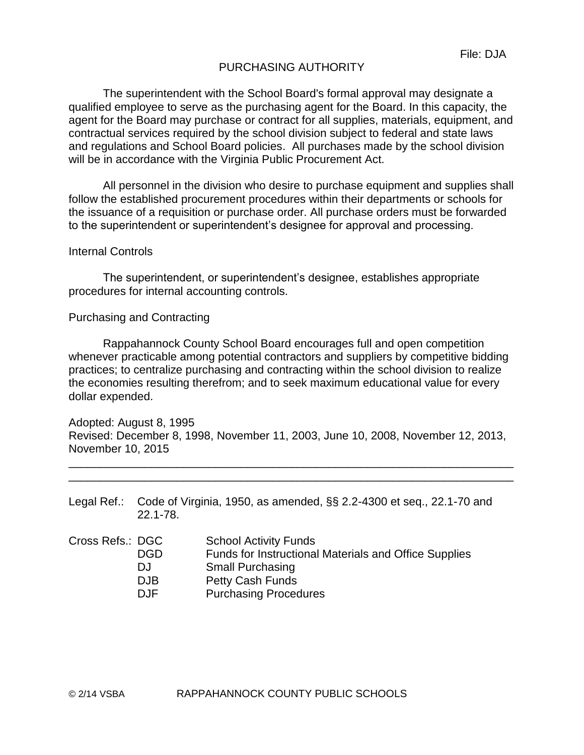## PURCHASING AUTHORITY

The superintendent with the School Board's formal approval may designate a qualified employee to serve as the purchasing agent for the Board. In this capacity, the agent for the Board may purchase or contract for all supplies, materials, equipment, and contractual services required by the school division subject to federal and state laws and regulations and School Board policies. All purchases made by the school division will be in accordance with the Virginia Public Procurement Act.

All personnel in the division who desire to purchase equipment and supplies shall follow the established procurement procedures within their departments or schools for the issuance of a requisition or purchase order. All purchase orders must be forwarded to the superintendent or superintendent's designee for approval and processing.

#### Internal Controls

The superintendent, or superintendent's designee, establishes appropriate procedures for internal accounting controls.

#### Purchasing and Contracting

Rappahannock County School Board encourages full and open competition whenever practicable among potential contractors and suppliers by competitive bidding practices; to centralize purchasing and contracting within the school division to realize the economies resulting therefrom; and to seek maximum educational value for every dollar expended.

Adopted: August 8, 1995 Revised: December 8, 1998, November 11, 2003, June 10, 2008, November 12, 2013, November 10, 2015

\_\_\_\_\_\_\_\_\_\_\_\_\_\_\_\_\_\_\_\_\_\_\_\_\_\_\_\_\_\_\_\_\_\_\_\_\_\_\_\_\_\_\_\_\_\_\_\_\_\_\_\_\_\_\_\_\_\_\_\_\_\_\_\_\_\_\_\_\_\_ \_\_\_\_\_\_\_\_\_\_\_\_\_\_\_\_\_\_\_\_\_\_\_\_\_\_\_\_\_\_\_\_\_\_\_\_\_\_\_\_\_\_\_\_\_\_\_\_\_\_\_\_\_\_\_\_\_\_\_\_\_\_\_\_\_\_\_\_\_\_

| Legal Ref.: Code of Virginia, 1950, as amended, §§ 2.2-4300 et seq., 22.1-70 and |
|----------------------------------------------------------------------------------|
| $22.1 - 78.$                                                                     |

| Cross Refs.: DGC |      | <b>School Activity Funds</b>                          |
|------------------|------|-------------------------------------------------------|
|                  | DGD  | Funds for Instructional Materials and Office Supplies |
|                  | DJ   | <b>Small Purchasing</b>                               |
|                  | DJB  | <b>Petty Cash Funds</b>                               |
|                  | DJF. | <b>Purchasing Procedures</b>                          |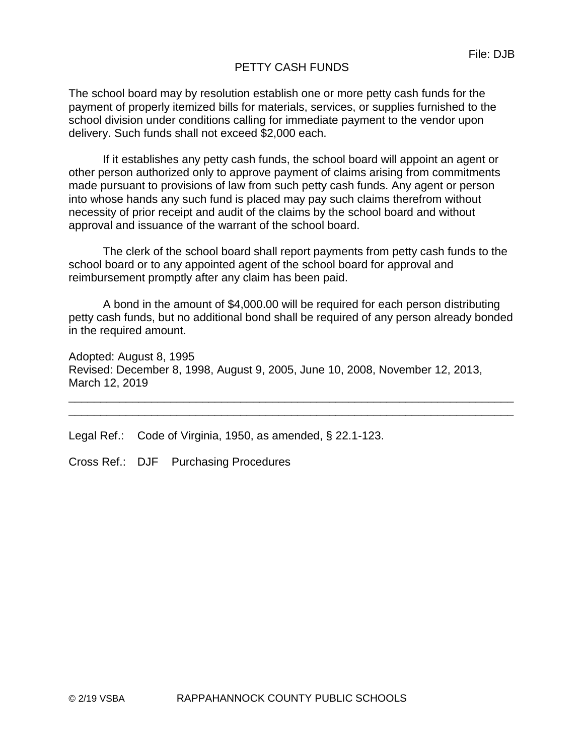# PETTY CASH FUNDS

The school board may by resolution establish one or more petty cash funds for the payment of properly itemized bills for materials, services, or supplies furnished to the school division under conditions calling for immediate payment to the vendor upon delivery. Such funds shall not exceed \$2,000 each.

If it establishes any petty cash funds, the school board will appoint an agent or other person authorized only to approve payment of claims arising from commitments made pursuant to provisions of law from such petty cash funds. Any agent or person into whose hands any such fund is placed may pay such claims therefrom without necessity of prior receipt and audit of the claims by the school board and without approval and issuance of the warrant of the school board.

The clerk of the school board shall report payments from petty cash funds to the school board or to any appointed agent of the school board for approval and reimbursement promptly after any claim has been paid.

A bond in the amount of \$4,000.00 will be required for each person distributing petty cash funds, but no additional bond shall be required of any person already bonded in the required amount.

\_\_\_\_\_\_\_\_\_\_\_\_\_\_\_\_\_\_\_\_\_\_\_\_\_\_\_\_\_\_\_\_\_\_\_\_\_\_\_\_\_\_\_\_\_\_\_\_\_\_\_\_\_\_\_\_\_\_\_\_\_\_\_\_\_\_\_\_\_\_ \_\_\_\_\_\_\_\_\_\_\_\_\_\_\_\_\_\_\_\_\_\_\_\_\_\_\_\_\_\_\_\_\_\_\_\_\_\_\_\_\_\_\_\_\_\_\_\_\_\_\_\_\_\_\_\_\_\_\_\_\_\_\_\_\_\_\_\_\_\_

Adopted: August 8, 1995 Revised: December 8, 1998, August 9, 2005, June 10, 2008, November 12, 2013, March 12, 2019

Legal Ref.: Code of Virginia, 1950, as amended, § 22.1-123.

Cross Ref.: DJF Purchasing Procedures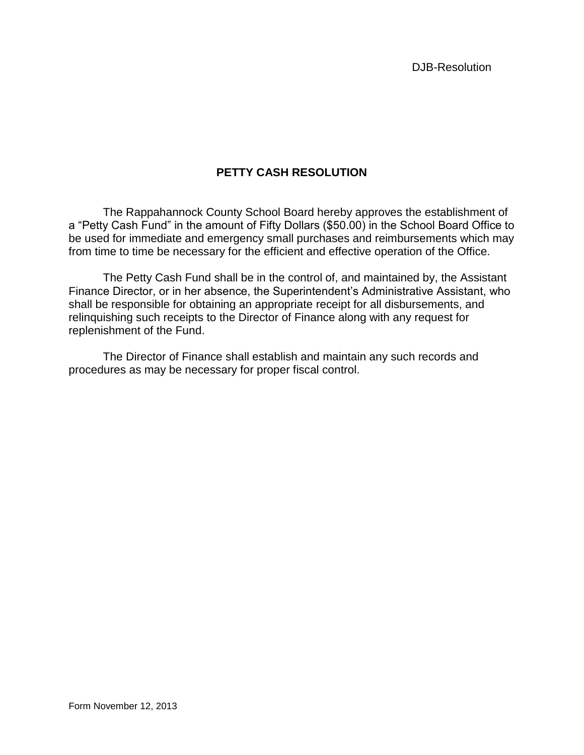DJB-Resolution

# **PETTY CASH RESOLUTION**

The Rappahannock County School Board hereby approves the establishment of a "Petty Cash Fund" in the amount of Fifty Dollars (\$50.00) in the School Board Office to be used for immediate and emergency small purchases and reimbursements which may from time to time be necessary for the efficient and effective operation of the Office.

The Petty Cash Fund shall be in the control of, and maintained by, the Assistant Finance Director, or in her absence, the Superintendent's Administrative Assistant, who shall be responsible for obtaining an appropriate receipt for all disbursements, and relinquishing such receipts to the Director of Finance along with any request for replenishment of the Fund.

The Director of Finance shall establish and maintain any such records and procedures as may be necessary for proper fiscal control.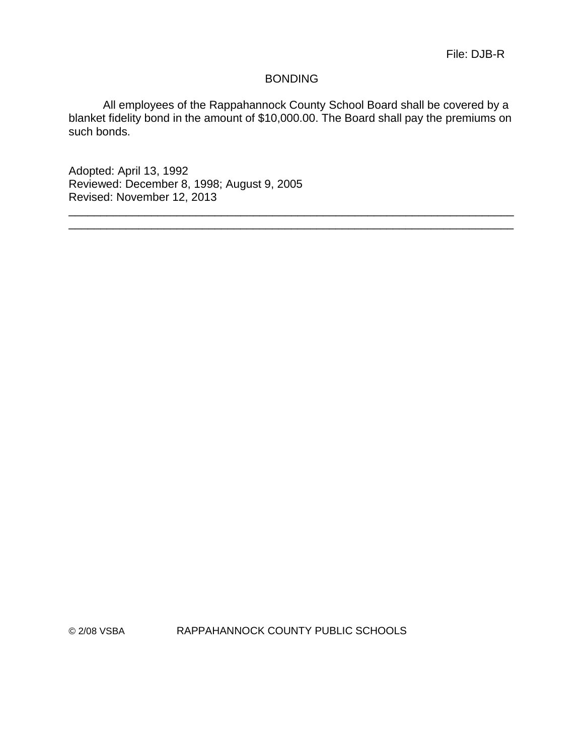#### BONDING

All employees of the Rappahannock County School Board shall be covered by a blanket fidelity bond in the amount of \$10,000.00. The Board shall pay the premiums on such bonds.

\_\_\_\_\_\_\_\_\_\_\_\_\_\_\_\_\_\_\_\_\_\_\_\_\_\_\_\_\_\_\_\_\_\_\_\_\_\_\_\_\_\_\_\_\_\_\_\_\_\_\_\_\_\_\_\_\_\_\_\_\_\_\_\_\_\_\_\_\_\_ \_\_\_\_\_\_\_\_\_\_\_\_\_\_\_\_\_\_\_\_\_\_\_\_\_\_\_\_\_\_\_\_\_\_\_\_\_\_\_\_\_\_\_\_\_\_\_\_\_\_\_\_\_\_\_\_\_\_\_\_\_\_\_\_\_\_\_\_\_\_

Adopted: April 13, 1992 Reviewed: December 8, 1998; August 9, 2005 Revised: November 12, 2013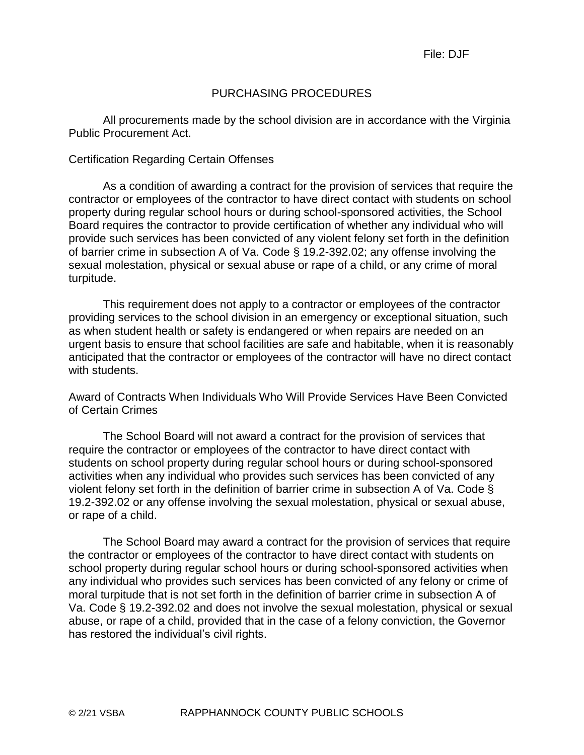## PURCHASING PROCEDURES

All procurements made by the school division are in accordance with the Virginia Public Procurement Act.

#### Certification Regarding Certain Offenses

As a condition of awarding a contract for the provision of services that require the contractor or employees of the contractor to have direct contact with students on school property during regular school hours or during school-sponsored activities, the School Board requires the contractor to provide certification of whether any individual who will provide such services has been convicted of any violent felony set forth in the definition of barrier crime in subsection A of Va. Code § 19.2-392.02; any offense involving the sexual molestation, physical or sexual abuse or rape of a child, or any crime of moral turpitude.

This requirement does not apply to a contractor or employees of the contractor providing services to the school division in an emergency or exceptional situation, such as when student health or safety is endangered or when repairs are needed on an urgent basis to ensure that school facilities are safe and habitable, when it is reasonably anticipated that the contractor or employees of the contractor will have no direct contact with students.

Award of Contracts When Individuals Who Will Provide Services Have Been Convicted of Certain Crimes

The School Board will not award a contract for the provision of services that require the contractor or employees of the contractor to have direct contact with students on school property during regular school hours or during school-sponsored activities when any individual who provides such services has been convicted of any violent felony set forth in the definition of barrier crime in subsection A of Va. Code § 19.2-392.02 or any offense involving the sexual molestation, physical or sexual abuse, or rape of a child.

The School Board may award a contract for the provision of services that require the contractor or employees of the contractor to have direct contact with students on school property during regular school hours or during school-sponsored activities when any individual who provides such services has been convicted of any felony or crime of moral turpitude that is not set forth in the definition of barrier crime in subsection A of Va. Code § 19.2-392.02 and does not involve the sexual molestation, physical or sexual abuse, or rape of a child, provided that in the case of a felony conviction, the Governor has restored the individual's civil rights.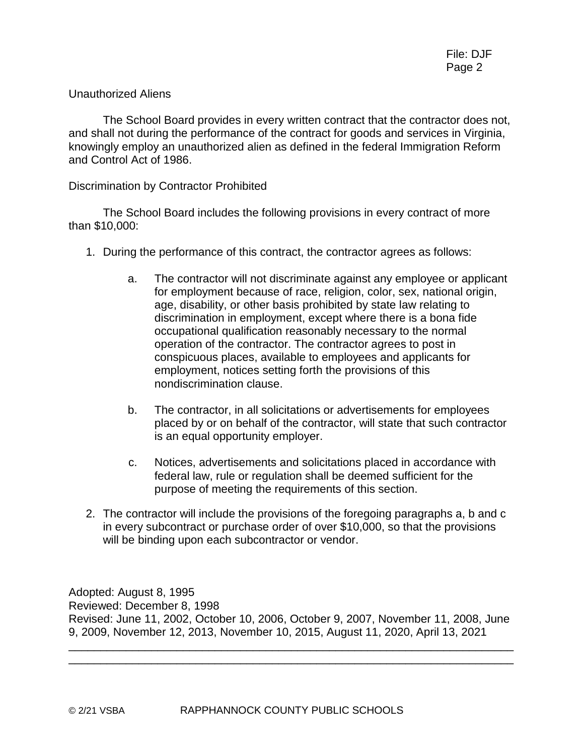## Unauthorized Aliens

The School Board provides in every written contract that the contractor does not, and shall not during the performance of the contract for goods and services in Virginia, knowingly employ an unauthorized alien as defined in the federal Immigration Reform and Control Act of 1986.

## Discrimination by Contractor Prohibited

The School Board includes the following provisions in every contract of more than \$10,000:

- 1. During the performance of this contract, the contractor agrees as follows:
	- a. The contractor will not discriminate against any employee or applicant for employment because of race, religion, color, sex, national origin, age, disability, or other basis prohibited by state law relating to discrimination in employment, except where there is a bona fide occupational qualification reasonably necessary to the normal operation of the contractor. The contractor agrees to post in conspicuous places, available to employees and applicants for employment, notices setting forth the provisions of this nondiscrimination clause.
	- b. The contractor, in all solicitations or advertisements for employees placed by or on behalf of the contractor, will state that such contractor is an equal opportunity employer.
	- c. Notices, advertisements and solicitations placed in accordance with federal law, rule or regulation shall be deemed sufficient for the purpose of meeting the requirements of this section.
- 2. The contractor will include the provisions of the foregoing paragraphs a, b and c in every subcontract or purchase order of over \$10,000, so that the provisions will be binding upon each subcontractor or vendor.

Adopted: August 8, 1995 Reviewed: December 8, 1998 Revised: June 11, 2002, October 10, 2006, October 9, 2007, November 11, 2008, June 9, 2009, November 12, 2013, November 10, 2015, August 11, 2020, April 13, 2021

\_\_\_\_\_\_\_\_\_\_\_\_\_\_\_\_\_\_\_\_\_\_\_\_\_\_\_\_\_\_\_\_\_\_\_\_\_\_\_\_\_\_\_\_\_\_\_\_\_\_\_\_\_\_\_\_\_\_\_\_\_\_\_\_\_\_\_\_\_\_ \_\_\_\_\_\_\_\_\_\_\_\_\_\_\_\_\_\_\_\_\_\_\_\_\_\_\_\_\_\_\_\_\_\_\_\_\_\_\_\_\_\_\_\_\_\_\_\_\_\_\_\_\_\_\_\_\_\_\_\_\_\_\_\_\_\_\_\_\_\_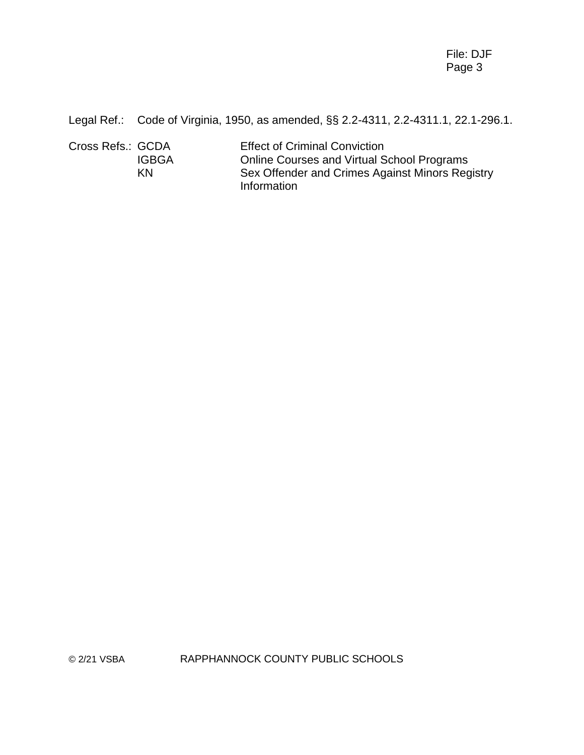File: DJF Page 3

Legal Ref.: Code of Virginia, 1950, as amended, §§ 2.2-4311, 2.2-4311.1, 22.1-296.1.

| Cross Refs.: GCDA | <b>Effect of Criminal Conviction</b>              |
|-------------------|---------------------------------------------------|
| <b>IGBGA</b>      | <b>Online Courses and Virtual School Programs</b> |
| KN                | Sex Offender and Crimes Against Minors Registry   |
|                   | Information                                       |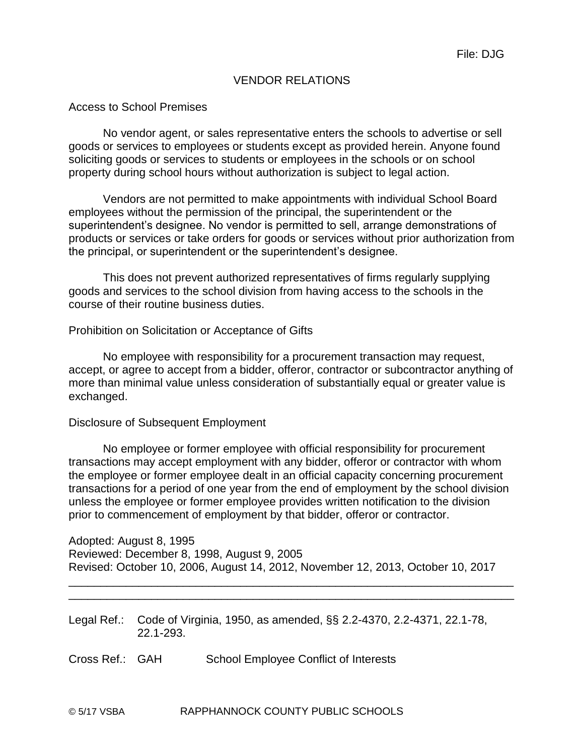# VENDOR RELATIONS

#### Access to School Premises

No vendor agent, or sales representative enters the schools to advertise or sell goods or services to employees or students except as provided herein. Anyone found soliciting goods or services to students or employees in the schools or on school property during school hours without authorization is subject to legal action.

Vendors are not permitted to make appointments with individual School Board employees without the permission of the principal, the superintendent or the superintendent's designee. No vendor is permitted to sell, arrange demonstrations of products or services or take orders for goods or services without prior authorization from the principal, or superintendent or the superintendent's designee.

This does not prevent authorized representatives of firms regularly supplying goods and services to the school division from having access to the schools in the course of their routine business duties.

Prohibition on Solicitation or Acceptance of Gifts

No employee with responsibility for a procurement transaction may request, accept, or agree to accept from a bidder, offeror, contractor or subcontractor anything of more than minimal value unless consideration of substantially equal or greater value is exchanged.

#### Disclosure of Subsequent Employment

No employee or former employee with official responsibility for procurement transactions may accept employment with any bidder, offeror or contractor with whom the employee or former employee dealt in an official capacity concerning procurement transactions for a period of one year from the end of employment by the school division unless the employee or former employee provides written notification to the division prior to commencement of employment by that bidder, offeror or contractor.

Adopted: August 8, 1995 Reviewed: December 8, 1998, August 9, 2005 Revised: October 10, 2006, August 14, 2012, November 12, 2013, October 10, 2017

\_\_\_\_\_\_\_\_\_\_\_\_\_\_\_\_\_\_\_\_\_\_\_\_\_\_\_\_\_\_\_\_\_\_\_\_\_\_\_\_\_\_\_\_\_\_\_\_\_\_\_\_\_\_\_\_\_\_\_\_\_\_\_\_\_\_\_\_\_\_ \_\_\_\_\_\_\_\_\_\_\_\_\_\_\_\_\_\_\_\_\_\_\_\_\_\_\_\_\_\_\_\_\_\_\_\_\_\_\_\_\_\_\_\_\_\_\_\_\_\_\_\_\_\_\_\_\_\_\_\_\_\_\_\_\_\_\_\_\_\_

Legal Ref.: Code of Virginia, 1950, as amended, §§ 2.2-4370, 2.2-4371, 22.1-78, 22.1-293.

Cross Ref.: GAH School Employee Conflict of Interests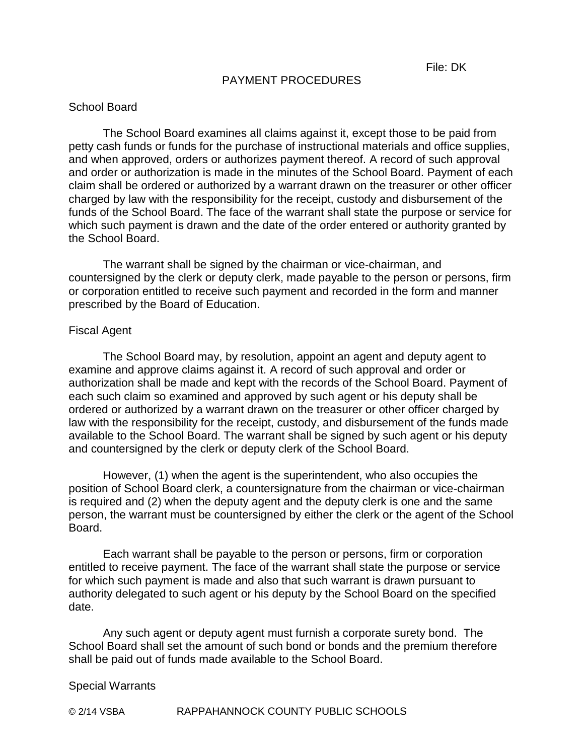#### PAYMENT PROCEDURES

#### School Board

The School Board examines all claims against it, except those to be paid from petty cash funds or funds for the purchase of instructional materials and office supplies, and when approved, orders or authorizes payment thereof. A record of such approval and order or authorization is made in the minutes of the School Board. Payment of each claim shall be ordered or authorized by a warrant drawn on the treasurer or other officer charged by law with the responsibility for the receipt, custody and disbursement of the funds of the School Board. The face of the warrant shall state the purpose or service for which such payment is drawn and the date of the order entered or authority granted by the School Board.

The warrant shall be signed by the chairman or vice-chairman, and countersigned by the clerk or deputy clerk, made payable to the person or persons, firm or corporation entitled to receive such payment and recorded in the form and manner prescribed by the Board of Education.

#### Fiscal Agent

The School Board may, by resolution, appoint an agent and deputy agent to examine and approve claims against it. A record of such approval and order or authorization shall be made and kept with the records of the School Board. Payment of each such claim so examined and approved by such agent or his deputy shall be ordered or authorized by a warrant drawn on the treasurer or other officer charged by law with the responsibility for the receipt, custody, and disbursement of the funds made available to the School Board. The warrant shall be signed by such agent or his deputy and countersigned by the clerk or deputy clerk of the School Board.

However, (1) when the agent is the superintendent, who also occupies the position of School Board clerk, a countersignature from the chairman or vice-chairman is required and (2) when the deputy agent and the deputy clerk is one and the same person, the warrant must be countersigned by either the clerk or the agent of the School Board.

Each warrant shall be payable to the person or persons, firm or corporation entitled to receive payment. The face of the warrant shall state the purpose or service for which such payment is made and also that such warrant is drawn pursuant to authority delegated to such agent or his deputy by the School Board on the specified date.

Any such agent or deputy agent must furnish a corporate surety bond. The School Board shall set the amount of such bond or bonds and the premium therefore shall be paid out of funds made available to the School Board.

#### Special Warrants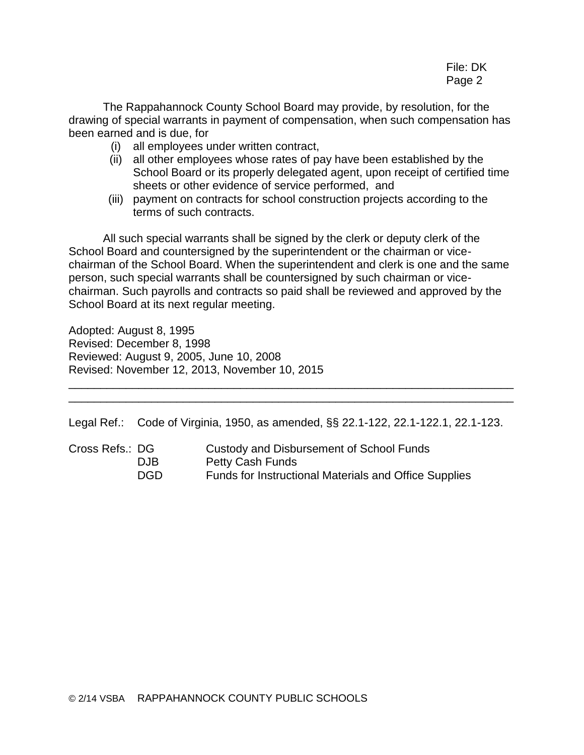# File: DK Page 2

The Rappahannock County School Board may provide, by resolution, for the drawing of special warrants in payment of compensation, when such compensation has been earned and is due, for

- (i) all employees under written contract,
- (ii) all other employees whose rates of pay have been established by the School Board or its properly delegated agent, upon receipt of certified time sheets or other evidence of service performed, and
- (iii) payment on contracts for school construction projects according to the terms of such contracts.

All such special warrants shall be signed by the clerk or deputy clerk of the School Board and countersigned by the superintendent or the chairman or vicechairman of the School Board. When the superintendent and clerk is one and the same person, such special warrants shall be countersigned by such chairman or vicechairman. Such payrolls and contracts so paid shall be reviewed and approved by the School Board at its next regular meeting.

Adopted: August 8, 1995 Revised: December 8, 1998 Reviewed: August 9, 2005, June 10, 2008 Revised: November 12, 2013, November 10, 2015

Legal Ref.: Code of Virginia, 1950, as amended, §§ 22.1-122, 22.1-122.1, 22.1-123.

\_\_\_\_\_\_\_\_\_\_\_\_\_\_\_\_\_\_\_\_\_\_\_\_\_\_\_\_\_\_\_\_\_\_\_\_\_\_\_\_\_\_\_\_\_\_\_\_\_\_\_\_\_\_\_\_\_\_\_\_\_\_\_\_\_\_\_\_\_\_ \_\_\_\_\_\_\_\_\_\_\_\_\_\_\_\_\_\_\_\_\_\_\_\_\_\_\_\_\_\_\_\_\_\_\_\_\_\_\_\_\_\_\_\_\_\_\_\_\_\_\_\_\_\_\_\_\_\_\_\_\_\_\_\_\_\_\_\_\_\_

Cross Refs.: DG Custody and Disbursement of School Funds DJB Petty Cash Funds DGD Funds for Instructional Materials and Office Supplies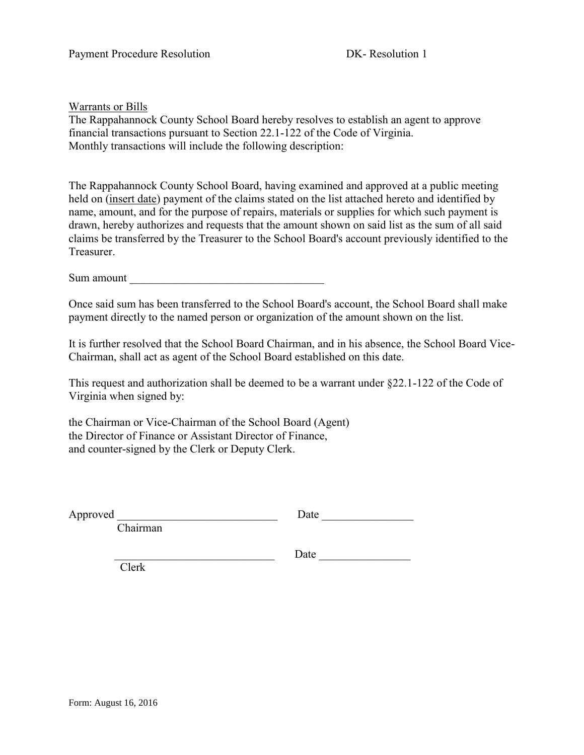Warrants or Bills

The Rappahannock County School Board hereby resolves to establish an agent to approve financial transactions pursuant to Section 22.1-122 of the Code of Virginia. Monthly transactions will include the following description:

The Rappahannock County School Board, having examined and approved at a public meeting held on (insert date) payment of the claims stated on the list attached hereto and identified by name, amount, and for the purpose of repairs, materials or supplies for which such payment is drawn, hereby authorizes and requests that the amount shown on said list as the sum of all said claims be transferred by the Treasurer to the School Board's account previously identified to the Treasurer.

Sum amount

Once said sum has been transferred to the School Board's account, the School Board shall make payment directly to the named person or organization of the amount shown on the list.

It is further resolved that the School Board Chairman, and in his absence, the School Board Vice-Chairman, shall act as agent of the School Board established on this date.

This request and authorization shall be deemed to be a warrant under §22.1-122 of the Code of Virginia when signed by:

the Chairman or Vice-Chairman of the School Board (Agent) the Director of Finance or Assistant Director of Finance, and counter-signed by the Clerk or Deputy Clerk.

Approved \_\_\_\_\_\_\_\_\_\_\_\_\_\_\_\_\_\_\_\_\_\_\_\_\_\_\_\_ Date \_\_\_\_\_\_\_\_\_\_\_\_\_\_\_\_

Chairman

Date  $\Box$ 

Clerk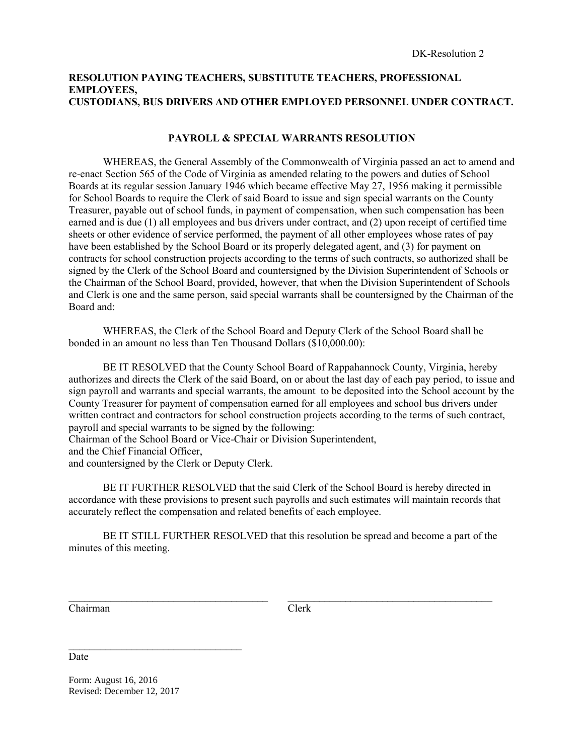#### **RESOLUTION PAYING TEACHERS, SUBSTITUTE TEACHERS, PROFESSIONAL EMPLOYEES, CUSTODIANS, BUS DRIVERS AND OTHER EMPLOYED PERSONNEL UNDER CONTRACT.**

#### **PAYROLL & SPECIAL WARRANTS RESOLUTION**

WHEREAS, the General Assembly of the Commonwealth of Virginia passed an act to amend and re-enact Section 565 of the Code of Virginia as amended relating to the powers and duties of School Boards at its regular session January 1946 which became effective May 27, 1956 making it permissible for School Boards to require the Clerk of said Board to issue and sign special warrants on the County Treasurer, payable out of school funds, in payment of compensation, when such compensation has been earned and is due (1) all employees and bus drivers under contract, and (2) upon receipt of certified time sheets or other evidence of service performed, the payment of all other employees whose rates of pay have been established by the School Board or its properly delegated agent, and (3) for payment on contracts for school construction projects according to the terms of such contracts, so authorized shall be signed by the Clerk of the School Board and countersigned by the Division Superintendent of Schools or the Chairman of the School Board, provided, however, that when the Division Superintendent of Schools and Clerk is one and the same person, said special warrants shall be countersigned by the Chairman of the Board and:

WHEREAS, the Clerk of the School Board and Deputy Clerk of the School Board shall be bonded in an amount no less than Ten Thousand Dollars (\$10,000.00):

BE IT RESOLVED that the County School Board of Rappahannock County, Virginia, hereby authorizes and directs the Clerk of the said Board, on or about the last day of each pay period, to issue and sign payroll and warrants and special warrants, the amount to be deposited into the School account by the County Treasurer for payment of compensation earned for all employees and school bus drivers under written contract and contractors for school construction projects according to the terms of such contract, payroll and special warrants to be signed by the following:

Chairman of the School Board or Vice-Chair or Division Superintendent,

and the Chief Financial Officer,

and countersigned by the Clerk or Deputy Clerk.

BE IT FURTHER RESOLVED that the said Clerk of the School Board is hereby directed in accordance with these provisions to present such payrolls and such estimates will maintain records that accurately reflect the compensation and related benefits of each employee.

BE IT STILL FURTHER RESOLVED that this resolution be spread and become a part of the minutes of this meeting.

 $\_$  , and the contribution of the contribution of  $\mathcal{L}_\text{max}$  , and the contribution of  $\mathcal{L}_\text{max}$ 

Chairman Clerk

Date

Form: August 16, 2016 Revised: December 12, 2017

 $\mathcal{L}_\text{max}$  , where  $\mathcal{L}_\text{max}$  , we have the set of  $\mathcal{L}_\text{max}$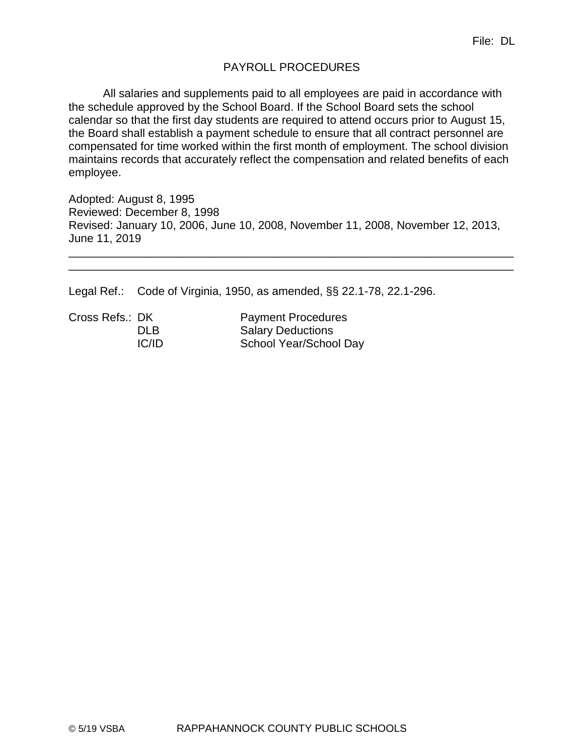# PAYROLL PROCEDURES

All salaries and supplements paid to all employees are paid in accordance with the schedule approved by the School Board. If the School Board sets the school calendar so that the first day students are required to attend occurs prior to August 15, the Board shall establish a payment schedule to ensure that all contract personnel are compensated for time worked within the first month of employment. The school division maintains records that accurately reflect the compensation and related benefits of each employee.

Adopted: August 8, 1995 Reviewed: December 8, 1998 Revised: January 10, 2006, June 10, 2008, November 11, 2008, November 12, 2013, June 11, 2019

\_\_\_\_\_\_\_\_\_\_\_\_\_\_\_\_\_\_\_\_\_\_\_\_\_\_\_\_\_\_\_\_\_\_\_\_\_\_\_\_\_\_\_\_\_\_\_\_\_\_\_\_\_\_\_\_\_\_\_\_\_\_\_\_\_\_\_\_\_\_ \_\_\_\_\_\_\_\_\_\_\_\_\_\_\_\_\_\_\_\_\_\_\_\_\_\_\_\_\_\_\_\_\_\_\_\_\_\_\_\_\_\_\_\_\_\_\_\_\_\_\_\_\_\_\_\_\_\_\_\_\_\_\_\_\_\_\_\_\_\_

Legal Ref.: Code of Virginia, 1950, as amended, §§ 22.1-78, 22.1-296.

Cross Refs.: DK Payment Procedures DLB Salary Deductions IC/ID School Year/School Day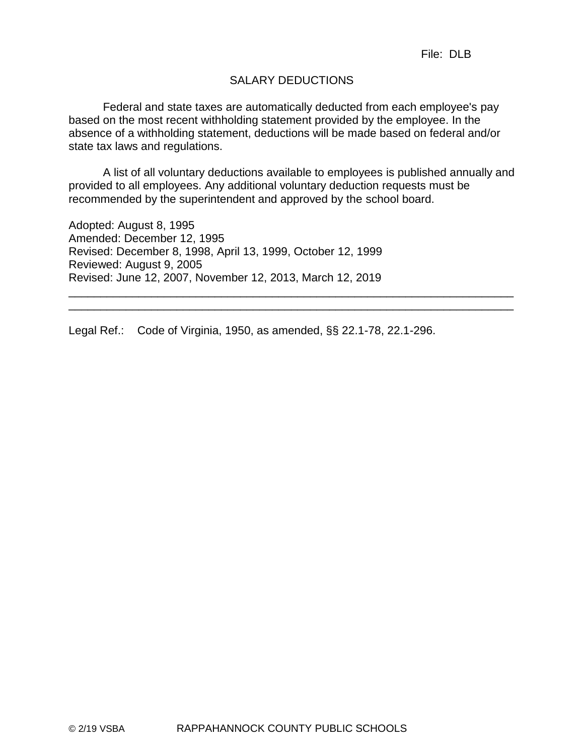# SALARY DEDUCTIONS

Federal and state taxes are automatically deducted from each employee's pay based on the most recent withholding statement provided by the employee. In the absence of a withholding statement, deductions will be made based on federal and/or state tax laws and regulations.

A list of all voluntary deductions available to employees is published annually and provided to all employees. Any additional voluntary deduction requests must be recommended by the superintendent and approved by the school board.

\_\_\_\_\_\_\_\_\_\_\_\_\_\_\_\_\_\_\_\_\_\_\_\_\_\_\_\_\_\_\_\_\_\_\_\_\_\_\_\_\_\_\_\_\_\_\_\_\_\_\_\_\_\_\_\_\_\_\_\_\_\_\_\_\_\_\_\_\_\_ \_\_\_\_\_\_\_\_\_\_\_\_\_\_\_\_\_\_\_\_\_\_\_\_\_\_\_\_\_\_\_\_\_\_\_\_\_\_\_\_\_\_\_\_\_\_\_\_\_\_\_\_\_\_\_\_\_\_\_\_\_\_\_\_\_\_\_\_\_\_

Adopted: August 8, 1995 Amended: December 12, 1995 Revised: December 8, 1998, April 13, 1999, October 12, 1999 Reviewed: August 9, 2005 Revised: June 12, 2007, November 12, 2013, March 12, 2019

Legal Ref.: Code of Virginia, 1950, as amended, §§ 22.1-78, 22.1-296.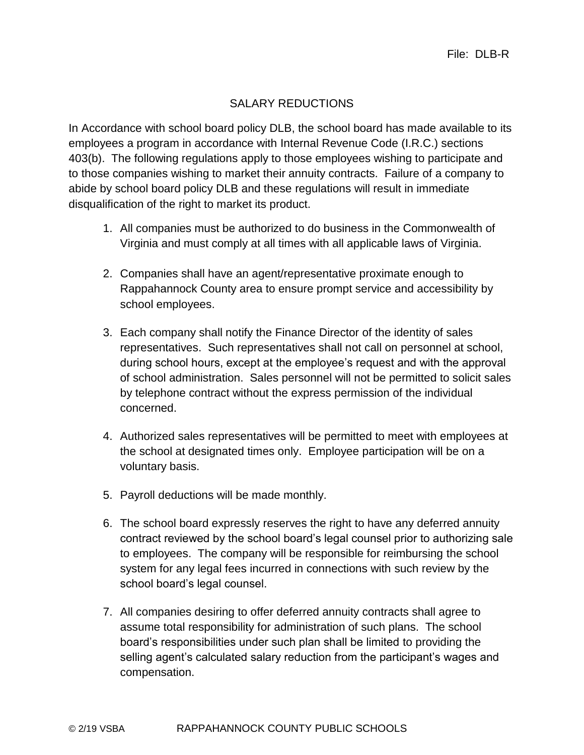# SALARY REDUCTIONS

In Accordance with school board policy DLB, the school board has made available to its employees a program in accordance with Internal Revenue Code (I.R.C.) sections 403(b). The following regulations apply to those employees wishing to participate and to those companies wishing to market their annuity contracts. Failure of a company to abide by school board policy DLB and these regulations will result in immediate disqualification of the right to market its product.

- 1. All companies must be authorized to do business in the Commonwealth of Virginia and must comply at all times with all applicable laws of Virginia.
- 2. Companies shall have an agent/representative proximate enough to Rappahannock County area to ensure prompt service and accessibility by school employees.
- 3. Each company shall notify the Finance Director of the identity of sales representatives. Such representatives shall not call on personnel at school, during school hours, except at the employee's request and with the approval of school administration. Sales personnel will not be permitted to solicit sales by telephone contract without the express permission of the individual concerned.
- 4. Authorized sales representatives will be permitted to meet with employees at the school at designated times only. Employee participation will be on a voluntary basis.
- 5. Payroll deductions will be made monthly.
- 6. The school board expressly reserves the right to have any deferred annuity contract reviewed by the school board's legal counsel prior to authorizing sale to employees. The company will be responsible for reimbursing the school system for any legal fees incurred in connections with such review by the school board's legal counsel.
- 7. All companies desiring to offer deferred annuity contracts shall agree to assume total responsibility for administration of such plans. The school board's responsibilities under such plan shall be limited to providing the selling agent's calculated salary reduction from the participant's wages and compensation.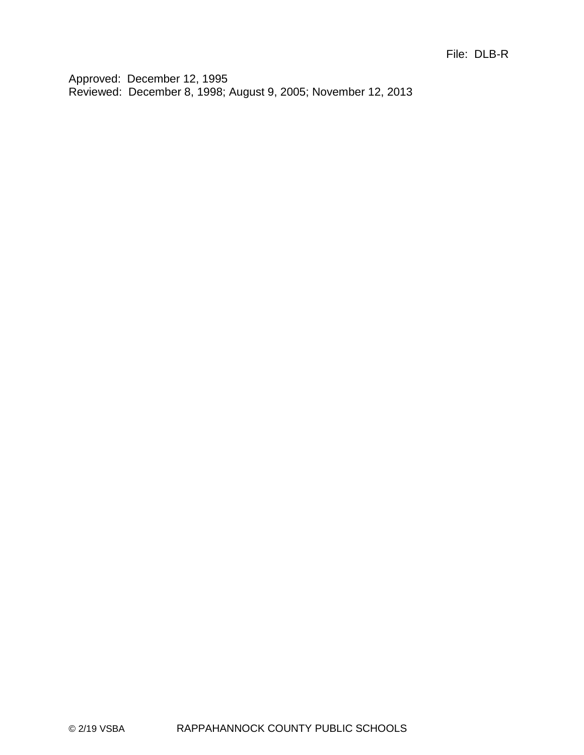Approved: December 12, 1995 Reviewed: December 8, 1998; August 9, 2005; November 12, 2013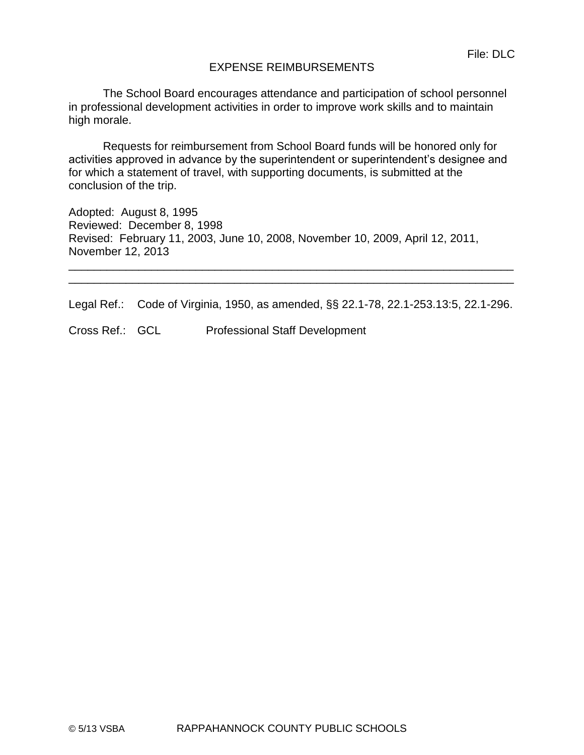## EXPENSE REIMBURSEMENTS

The School Board encourages attendance and participation of school personnel in professional development activities in order to improve work skills and to maintain high morale.

Requests for reimbursement from School Board funds will be honored only for activities approved in advance by the superintendent or superintendent's designee and for which a statement of travel, with supporting documents, is submitted at the conclusion of the trip.

Adopted: August 8, 1995 Reviewed: December 8, 1998 Revised: February 11, 2003, June 10, 2008, November 10, 2009, April 12, 2011, November 12, 2013

Legal Ref.: Code of Virginia, 1950, as amended, §§ 22.1-78, 22.1-253.13:5, 22.1-296.

\_\_\_\_\_\_\_\_\_\_\_\_\_\_\_\_\_\_\_\_\_\_\_\_\_\_\_\_\_\_\_\_\_\_\_\_\_\_\_\_\_\_\_\_\_\_\_\_\_\_\_\_\_\_\_\_\_\_\_\_\_\_\_\_\_\_\_\_\_\_ \_\_\_\_\_\_\_\_\_\_\_\_\_\_\_\_\_\_\_\_\_\_\_\_\_\_\_\_\_\_\_\_\_\_\_\_\_\_\_\_\_\_\_\_\_\_\_\_\_\_\_\_\_\_\_\_\_\_\_\_\_\_\_\_\_\_\_\_\_\_

Cross Ref.: GCL Professional Staff Development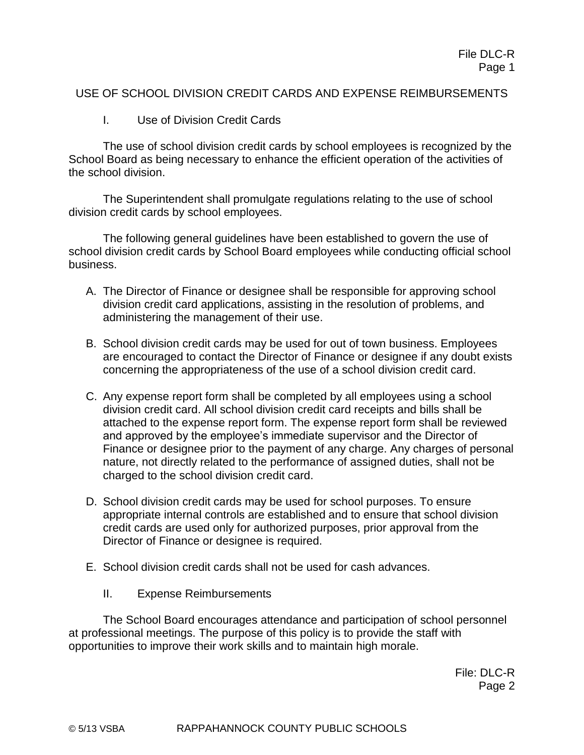## USE OF SCHOOL DIVISION CREDIT CARDS AND EXPENSE REIMBURSEMENTS

I. Use of Division Credit Cards

The use of school division credit cards by school employees is recognized by the School Board as being necessary to enhance the efficient operation of the activities of the school division.

The Superintendent shall promulgate regulations relating to the use of school division credit cards by school employees.

The following general guidelines have been established to govern the use of school division credit cards by School Board employees while conducting official school business.

- A. The Director of Finance or designee shall be responsible for approving school division credit card applications, assisting in the resolution of problems, and administering the management of their use.
- B. School division credit cards may be used for out of town business. Employees are encouraged to contact the Director of Finance or designee if any doubt exists concerning the appropriateness of the use of a school division credit card.
- C. Any expense report form shall be completed by all employees using a school division credit card. All school division credit card receipts and bills shall be attached to the expense report form. The expense report form shall be reviewed and approved by the employee's immediate supervisor and the Director of Finance or designee prior to the payment of any charge. Any charges of personal nature, not directly related to the performance of assigned duties, shall not be charged to the school division credit card.
- D. School division credit cards may be used for school purposes. To ensure appropriate internal controls are established and to ensure that school division credit cards are used only for authorized purposes, prior approval from the Director of Finance or designee is required.
- E. School division credit cards shall not be used for cash advances.
	- II. Expense Reimbursements

The School Board encourages attendance and participation of school personnel at professional meetings. The purpose of this policy is to provide the staff with opportunities to improve their work skills and to maintain high morale.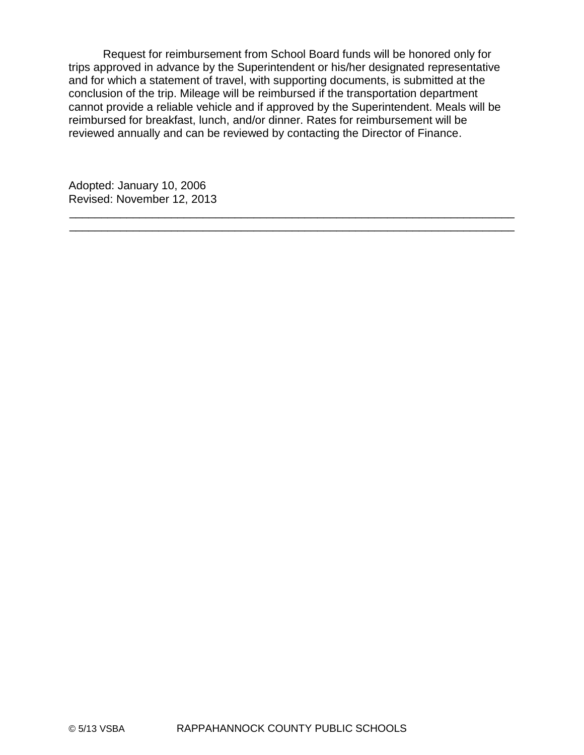Request for reimbursement from School Board funds will be honored only for trips approved in advance by the Superintendent or his/her designated representative and for which a statement of travel, with supporting documents, is submitted at the conclusion of the trip. Mileage will be reimbursed if the transportation department cannot provide a reliable vehicle and if approved by the Superintendent. Meals will be reimbursed for breakfast, lunch, and/or dinner. Rates for reimbursement will be reviewed annually and can be reviewed by contacting the Director of Finance.

\_\_\_\_\_\_\_\_\_\_\_\_\_\_\_\_\_\_\_\_\_\_\_\_\_\_\_\_\_\_\_\_\_\_\_\_\_\_\_\_\_\_\_\_\_\_\_\_\_\_\_\_\_\_\_\_\_\_\_\_\_\_\_\_\_\_\_\_\_\_ \_\_\_\_\_\_\_\_\_\_\_\_\_\_\_\_\_\_\_\_\_\_\_\_\_\_\_\_\_\_\_\_\_\_\_\_\_\_\_\_\_\_\_\_\_\_\_\_\_\_\_\_\_\_\_\_\_\_\_\_\_\_\_\_\_\_\_\_\_\_

Adopted: January 10, 2006 Revised: November 12, 2013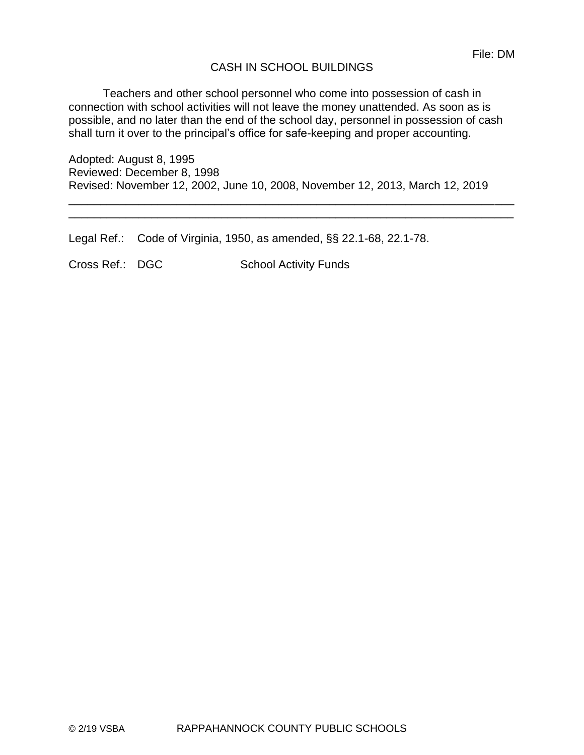## CASH IN SCHOOL BUILDINGS

Teachers and other school personnel who come into possession of cash in connection with school activities will not leave the money unattended. As soon as is possible, and no later than the end of the school day, personnel in possession of cash shall turn it over to the principal's office for safe-keeping and proper accounting.

Adopted: August 8, 1995 Reviewed: December 8, 1998 Revised: November 12, 2002, June 10, 2008, November 12, 2013, March 12, 2019

\_\_\_\_\_\_\_\_\_\_\_\_\_\_\_\_\_\_\_\_\_\_\_\_\_\_\_\_\_\_\_\_\_\_\_\_\_\_\_\_\_\_\_\_\_\_\_\_\_\_\_\_\_\_\_\_\_\_\_\_\_\_\_\_\_\_\_\_\_\_ \_\_\_\_\_\_\_\_\_\_\_\_\_\_\_\_\_\_\_\_\_\_\_\_\_\_\_\_\_\_\_\_\_\_\_\_\_\_\_\_\_\_\_\_\_\_\_\_\_\_\_\_\_\_\_\_\_\_\_\_\_\_\_\_\_\_\_\_\_\_

Legal Ref.: Code of Virginia, 1950, as amended, §§ 22.1-68, 22.1-78.

Cross Ref.: DGC School Activity Funds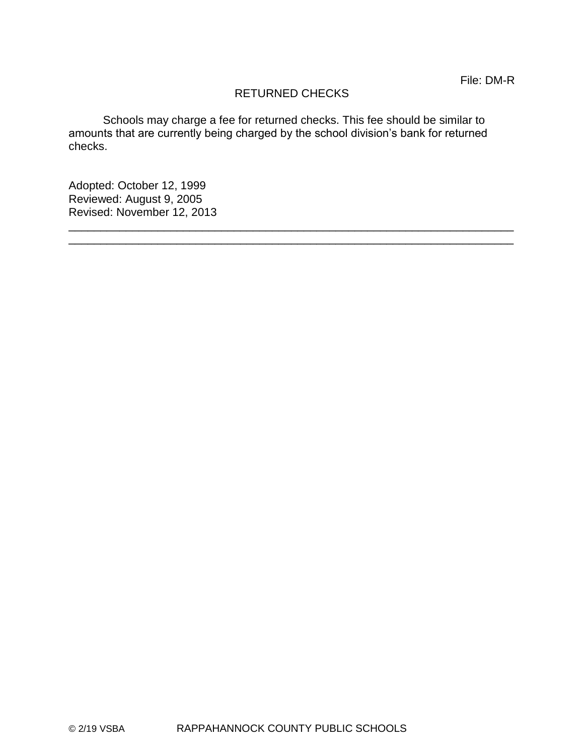# RETURNED CHECKS

\_\_\_\_\_\_\_\_\_\_\_\_\_\_\_\_\_\_\_\_\_\_\_\_\_\_\_\_\_\_\_\_\_\_\_\_\_\_\_\_\_\_\_\_\_\_\_\_\_\_\_\_\_\_\_\_\_\_\_\_\_\_\_\_\_\_\_\_\_\_ \_\_\_\_\_\_\_\_\_\_\_\_\_\_\_\_\_\_\_\_\_\_\_\_\_\_\_\_\_\_\_\_\_\_\_\_\_\_\_\_\_\_\_\_\_\_\_\_\_\_\_\_\_\_\_\_\_\_\_\_\_\_\_\_\_\_\_\_\_\_

Schools may charge a fee for returned checks. This fee should be similar to amounts that are currently being charged by the school division's bank for returned checks.

Adopted: October 12, 1999 Reviewed: August 9, 2005 Revised: November 12, 2013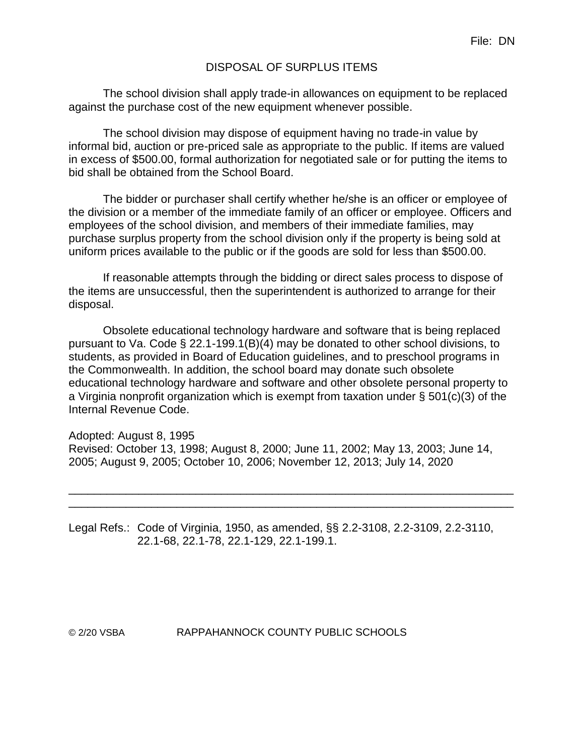## DISPOSAL OF SURPLUS ITEMS

The school division shall apply trade-in allowances on equipment to be replaced against the purchase cost of the new equipment whenever possible.

The school division may dispose of equipment having no trade-in value by informal bid, auction or pre-priced sale as appropriate to the public. If items are valued in excess of \$500.00, formal authorization for negotiated sale or for putting the items to bid shall be obtained from the School Board.

The bidder or purchaser shall certify whether he/she is an officer or employee of the division or a member of the immediate family of an officer or employee. Officers and employees of the school division, and members of their immediate families, may purchase surplus property from the school division only if the property is being sold at uniform prices available to the public or if the goods are sold for less than \$500.00.

If reasonable attempts through the bidding or direct sales process to dispose of the items are unsuccessful, then the superintendent is authorized to arrange for their disposal.

Obsolete educational technology hardware and software that is being replaced pursuant to Va. Code § 22.1-199.1(B)(4) may be donated to other school divisions, to students, as provided in Board of Education guidelines, and to preschool programs in the Commonwealth. In addition, the school board may donate such obsolete educational technology hardware and software and other obsolete personal property to a Virginia nonprofit organization which is exempt from taxation under § 501(c)(3) of the Internal Revenue Code.

Adopted: August 8, 1995 Revised: October 13, 1998; August 8, 2000; June 11, 2002; May 13, 2003; June 14, 2005; August 9, 2005; October 10, 2006; November 12, 2013; July 14, 2020

\_\_\_\_\_\_\_\_\_\_\_\_\_\_\_\_\_\_\_\_\_\_\_\_\_\_\_\_\_\_\_\_\_\_\_\_\_\_\_\_\_\_\_\_\_\_\_\_\_\_\_\_\_\_\_\_\_\_\_\_\_\_\_\_\_\_\_\_\_\_ \_\_\_\_\_\_\_\_\_\_\_\_\_\_\_\_\_\_\_\_\_\_\_\_\_\_\_\_\_\_\_\_\_\_\_\_\_\_\_\_\_\_\_\_\_\_\_\_\_\_\_\_\_\_\_\_\_\_\_\_\_\_\_\_\_\_\_\_\_\_

Legal Refs.: Code of Virginia, 1950, as amended, §§ 2.2-3108, 2.2-3109, 2.2-3110, 22.1-68, 22.1-78, 22.1-129, 22.1-199.1.

© 2/20 VSBA RAPPAHANNOCK COUNTY PUBLIC SCHOOLS